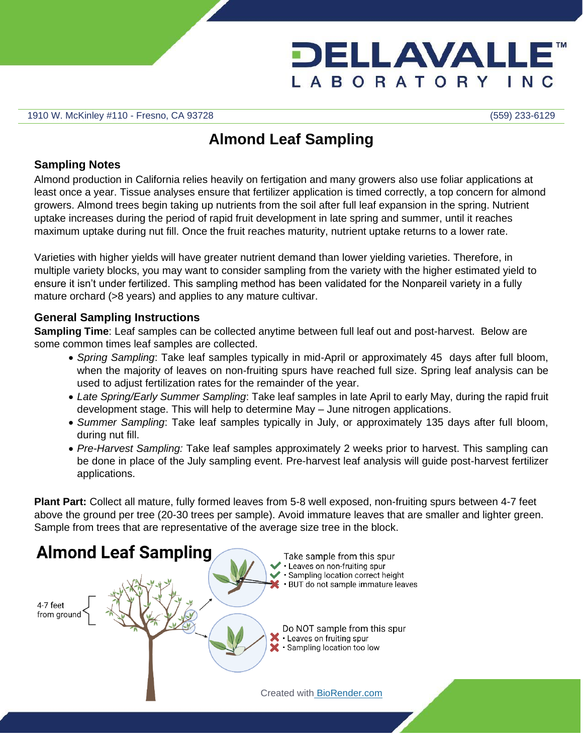

1910 W. McKinley #110 - Fresno, CA 93728 (559) 233-6129

# **Almond Leaf Sampling**

# **Sampling Notes**

Almond production in California relies heavily on fertigation and many growers also use foliar applications at least once a year. Tissue analyses ensure that fertilizer application is timed correctly, a top concern for almond growers. Almond trees begin taking up nutrients from the soil after full leaf expansion in the spring. Nutrient uptake increases during the period of rapid fruit development in late spring and summer, until it reaches maximum uptake during nut fill. Once the fruit reaches maturity, nutrient uptake returns to a lower rate.

Varieties with higher yields will have greater nutrient demand than lower yielding varieties. Therefore, in multiple variety blocks, you may want to consider sampling from the variety with the higher estimated yield to ensure it isn't under fertilized. This sampling method has been validated for the Nonpareil variety in a fully mature orchard (>8 years) and applies to any mature cultivar.

## **General Sampling Instructions**

**Sampling Time**: Leaf samples can be collected anytime between full leaf out and post-harvest. Below are some common times leaf samples are collected.

- *Spring Sampling*: Take leaf samples typically in mid-April or approximately 45 days after full bloom, when the majority of leaves on non-fruiting spurs have reached full size. Spring leaf analysis can be used to adjust fertilization rates for the remainder of the year.
- *Late Spring/Early Summer Sampling*: Take leaf samples in late April to early May, during the rapid fruit development stage. This will help to determine May – June nitrogen applications.
- *Summer Sampling*: Take leaf samples typically in July, or approximately 135 days after full bloom, during nut fill.
- *Pre-Harvest Sampling:* Take leaf samples approximately 2 weeks prior to harvest. This sampling can be done in place of the July sampling event. Pre-harvest leaf analysis will guide post-harvest fertilizer applications.

**Plant Part:** Collect all mature, fully formed leaves from 5-8 well exposed, non-fruiting spurs between 4-7 feet above the ground per tree (20-30 trees per sample). Avoid immature leaves that are smaller and lighter green. Sample from trees that are representative of the average size tree in the block.